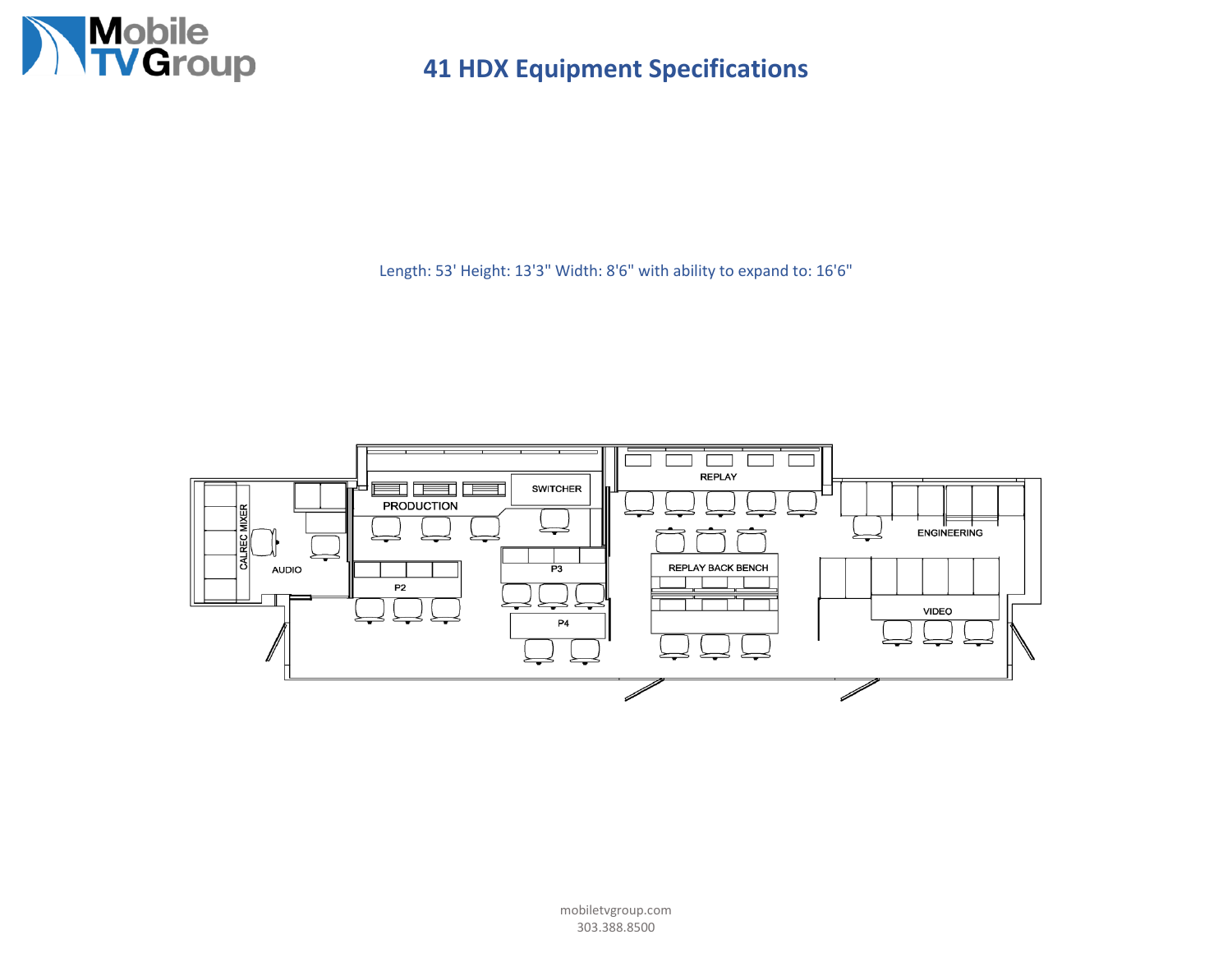

Length: 53' Height: 13'3" Width: 8'6" with ability to expand to: 16'6"